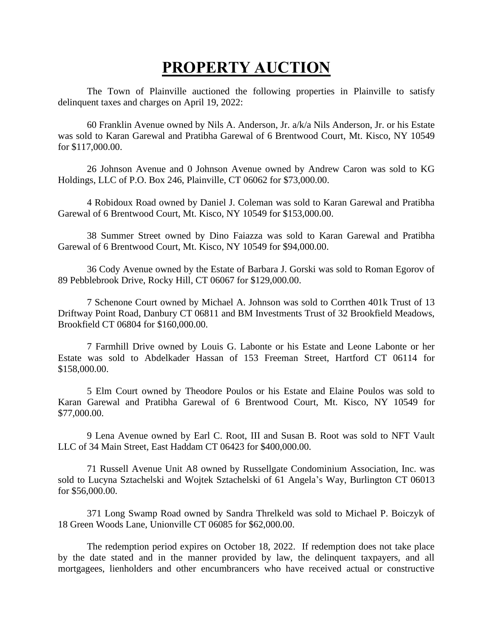## **PROPERTY AUCTION**

The Town of Plainville auctioned the following properties in Plainville to satisfy delinquent taxes and charges on April 19, 2022:

60 Franklin Avenue owned by Nils A. Anderson, Jr. a/k/a Nils Anderson, Jr. or his Estate was sold to Karan Garewal and Pratibha Garewal of 6 Brentwood Court, Mt. Kisco, NY 10549 for \$117,000.00.

26 Johnson Avenue and 0 Johnson Avenue owned by Andrew Caron was sold to KG Holdings, LLC of P.O. Box 246, Plainville, CT 06062 for \$73,000.00.

4 Robidoux Road owned by Daniel J. Coleman was sold to Karan Garewal and Pratibha Garewal of 6 Brentwood Court, Mt. Kisco, NY 10549 for \$153,000.00.

38 Summer Street owned by Dino Faiazza was sold to Karan Garewal and Pratibha Garewal of 6 Brentwood Court, Mt. Kisco, NY 10549 for \$94,000.00.

36 Cody Avenue owned by the Estate of Barbara J. Gorski was sold to Roman Egorov of 89 Pebblebrook Drive, Rocky Hill, CT 06067 for \$129,000.00.

7 Schenone Court owned by Michael A. Johnson was sold to Corrthen 401k Trust of 13 Driftway Point Road, Danbury CT 06811 and BM Investments Trust of 32 Brookfield Meadows, Brookfield CT 06804 for \$160,000.00.

7 Farmhill Drive owned by Louis G. Labonte or his Estate and Leone Labonte or her Estate was sold to Abdelkader Hassan of 153 Freeman Street, Hartford CT 06114 for \$158,000.00.

5 Elm Court owned by Theodore Poulos or his Estate and Elaine Poulos was sold to Karan Garewal and Pratibha Garewal of 6 Brentwood Court, Mt. Kisco, NY 10549 for \$77,000.00.

9 Lena Avenue owned by Earl C. Root, III and Susan B. Root was sold to NFT Vault LLC of 34 Main Street, East Haddam CT 06423 for \$400,000.00.

71 Russell Avenue Unit A8 owned by Russellgate Condominium Association, Inc. was sold to Lucyna Sztachelski and Wojtek Sztachelski of 61 Angela's Way, Burlington CT 06013 for \$56,000.00.

371 Long Swamp Road owned by Sandra Threlkeld was sold to Michael P. Boiczyk of 18 Green Woods Lane, Unionville CT 06085 for \$62,000.00.

The redemption period expires on October 18, 2022. If redemption does not take place by the date stated and in the manner provided by law, the delinquent taxpayers, and all mortgagees, lienholders and other encumbrancers who have received actual or constructive